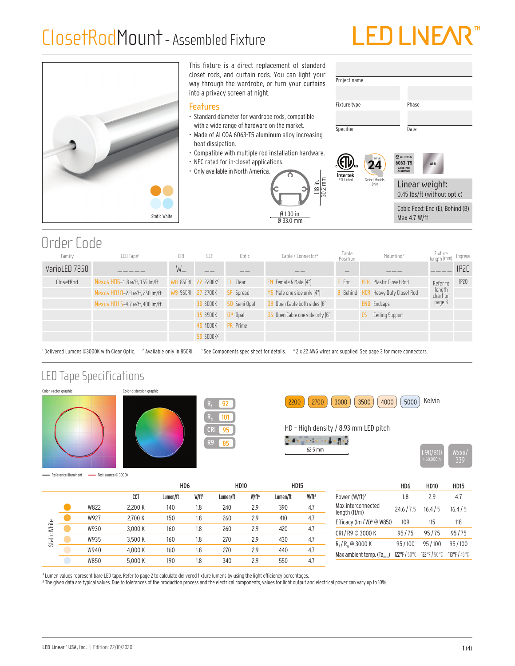## ClosetRodMount- Assembled Fixture

# LED LINE/



#### Order Code

| Family        | LED Tape <sup>1</sup>          | CRI               | CCT                            | Optic            | Cable / Connector <sup>4</sup>          | Cable<br>Position   | Mounting <sup>3</sup>            | Fixture<br>Iength (mm) | Ingress          |
|---------------|--------------------------------|-------------------|--------------------------------|------------------|-----------------------------------------|---------------------|----------------------------------|------------------------|------------------|
| VarioLED 7850 |                                | W                 |                                |                  |                                         |                     |                                  |                        | IP <sub>20</sub> |
| ClosetRod     | Nexus HD6-1.8 w/ft. 155 Im/ft  |                   | WB 85CRI 22 2200K <sup>2</sup> | CL Clear         | FM Female & Male [4"]                   | E Fnd               | Plastic Closet Rod<br><b>PCR</b> | Refer to               | IP20             |
|               | Nexus HD10-2.9 w/ft, 250 lm/ft | W9 95CRI 27 2700K |                                | <b>SP</b> Spread | MS Male one side only [4"]              | <b>B</b> Behind HCR | Heavy Duty Closet Rod            | length<br>chart on     |                  |
|               | Nexus HD15-4.7 w/ft. 400 lm/ft |                   | 30 3000K                       | 50 Semi Opal     | OB Open Cable both sides [6']           |                     | Endcaps<br>END                   | page 3                 |                  |
|               |                                |                   | 35 3500K                       | OP Opal          | <b>OS</b> Open Cable one side only [6'] |                     | <b>Ceiling Support</b>           |                        |                  |
|               |                                |                   | 40 4000K                       | <b>PR</b> Prime  |                                         |                     |                                  |                        |                  |
|               |                                |                   | 50 5000K <sup>2</sup>          |                  |                                         |                     |                                  |                        |                  |

<sup>1</sup> Delivered Lumens @3000K with Clear Optic. <sup>2</sup> Available only in 85CRI. <sup>3</sup> See Components spec sheet for details. <sup>4</sup> 2 x 22 AWG wires are supplied. See page 3 for more connectors.

#### LED Tape Specifications











- Reference illuminant - Test source @ 3000K

|                 |      |         | H <sub>D6</sub> |                   | <b>HD10</b> |                   | <b>HD15</b> |                   |
|-----------------|------|---------|-----------------|-------------------|-------------|-------------------|-------------|-------------------|
|                 |      | CCT     | Lumen/ft        | W/ft <sup>A</sup> | Lumen/ft    | W/ft <sup>A</sup> | Lumen/ft    | W/ft <sup>A</sup> |
| White<br>Static | W822 | 2.200 K | 140             | 1.8               | 240         | 2.9               | 390         | 4.7               |
|                 | W927 | 2.700 K | 150             | 1.8               | 260         | 2.9               | 410         | 4.7               |
|                 | W930 | 3.000 K | 160             | 1.8               | 260         | 2.9               | 420         | 4.7               |
|                 | W935 | 3.500 K | 160             | 1.8               | 270         | 2.9               | 430         | 4.7               |
|                 | W940 | 4.000 K | 160             | 1.8               | 270         | 2.9               | 440         | 4.7               |
|                 | W850 | 5.000 K | 190             | 1.8               | 340         | 2.9               | 550         | 4.7               |

HD6 HD10 HD15 Power (W/ft)<sup>A</sup> 1.8 2.9 4.7 Max interconnected max interconnected  $24.6 / 7.5$  16.4/5 16.4/5 Efficacy (lm / W)<sup>A</sup> @ W850 109 115 118 CRI / R9 @ 3000 K 95 / 75 95 / 75 95 / 75 R<sub>f</sub>/R<sub>g</sub> @ 3000 K 95/100 95/100 95/100 Max ambient temp. (Ta<sub>max</sub>) 122°F / 50°C 122°F / 50°C 113°F / 45°C

A Lumen values represent bare LED tape. Refer to page 2 to calculate delivered fixture lumens by using the light efficiency percentages.

 $^{\text{\tiny{\textup{B}}} }$  The given data are typical values. Due to tolerances of the production process and the electrical components, values for light output and electrical power can vary up to 10%.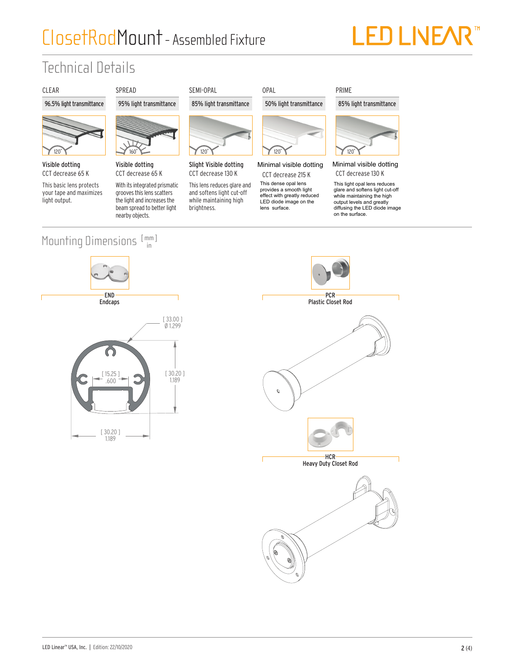## ClosetRodMount- Assembled Fixture



## Technical Details





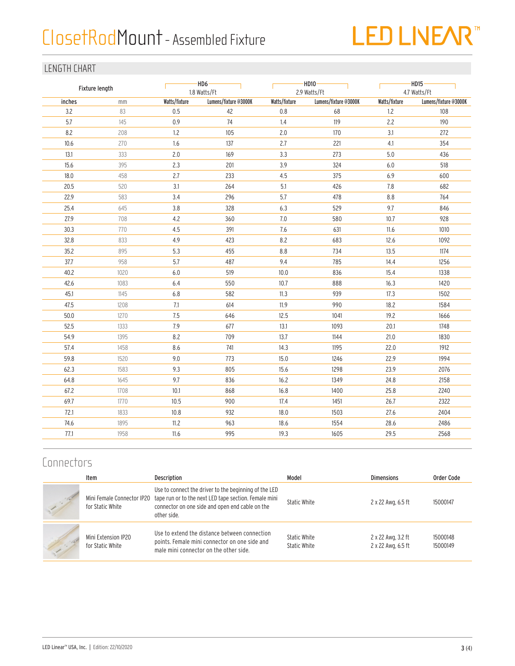## ClosetRodMount - Assembled Fixture



#### LENGTH CHART

| Fixture length |      |               | $-HD6-$<br>1.8 Watts/Ft |               | $-HD10 -$<br>2.9 Watts/Ft |               | $-HD15-$<br>4.7 Watts/Ft |  |
|----------------|------|---------------|-------------------------|---------------|---------------------------|---------------|--------------------------|--|
| inches         | mm   | Watts/fixture | Lumens/fixture @3000K   | Watts/fixture | Lumens/fixture @3000K     | Watts/fixture | Lumens/fixture @3000K    |  |
| 3.2            | 83   | 0.5           | 42                      | 0.8           | 68                        | 1.2           | 108                      |  |
| 5.7            | 145  | 0.9           | 74                      | 1.4           | 119                       | 2.2           | 190                      |  |
| 8.2            | 208  | 1.2           | 105                     | 2.0           | 170                       | 3.1           | 272                      |  |
| 10.6           | 270  | 1.6           | 137                     | 2.7           | 221                       | 4.1           | 354                      |  |
| 13.1           | 333  | 2.0           | 169                     | 3.3           | 273                       | 5.0           | 436                      |  |
| 15.6           | 395  | 2.3           | 201                     | 3.9           | 324                       | 6.0           | 518                      |  |
| 18.0           | 458  | 2.7           | 233                     | 4.5           | 375                       | 6.9           | 600                      |  |
| 20.5           | 520  | 3.1           | 264                     | 5.1           | 426                       | 7.8           | 682                      |  |
| 22.9           | 583  | 3.4           | 296                     | 5.7           | 478                       | 8.8           | 764                      |  |
| 25.4           | 645  | 3.8           | 328                     | 6.3           | 529                       | 9.7           | 846                      |  |
| 27.9           | 708  | 4.2           | 360                     | 7.0           | 580                       | 10.7          | 928                      |  |
| 30.3           | 770  | 4.5           | 391                     | 7.6           | 631                       | 11.6          | 1010                     |  |
| 32.8           | 833  | 4.9           | 423                     | 8.2           | 683                       | 12.6          | 1092                     |  |
| 35.2           | 895  | 5.3           | 455                     | 8.8           | 734                       | 13.5          | 1174                     |  |
| 37.7           | 958  | 5.7           | 487                     | 9.4           | 785                       | 14.4          | 1256                     |  |
| 40.2           | 1020 | $6.0\,$       | 519                     | 10.0          | 836                       | 15.4          | 1338                     |  |
| 42.6           | 1083 | 6.4           | 550                     | 10.7          | 888                       | 16.3          | 1420                     |  |
| 45.1           | 1145 | 6.8           | 582                     | 11.3          | 939                       | 17.3          | 1502                     |  |
| 47.5           | 1208 | 7.1           | 614                     | 11.9          | 990                       | 18.2          | 1584                     |  |
| 50.0           | 1270 | 7.5           | 646                     | 12.5          | 1041                      | 19.2          | 1666                     |  |
| 52.5           | 1333 | 7.9           | 677                     | 13.1          | 1093                      | 20.1          | 1748                     |  |
| 54.9           | 1395 | 8.2           | 709                     | 13.7          | 1144                      | 21.0          | 1830                     |  |
| 57.4           | 1458 | 8.6           | 741                     | 14.3          | 1195                      | 22.0          | 1912                     |  |
| 59.8           | 1520 | 9.0           | 773                     | 15.0          | 1246                      | 22.9          | 1994                     |  |
| 62.3           | 1583 | 9.3           | 805                     | 15.6          | 1298                      | 23.9          | 2076                     |  |
| 64.8           | 1645 | 9.7           | 836                     | 16.2          | 1349                      | 24.8          | 2158                     |  |
| 67.2           | 1708 | 10.1          | 868                     | 16.8          | 1400                      | 25.8          | 2240                     |  |
| 69.7           | 1770 | 10.5          | 900                     | 17.4          | 1451                      | 26.7          | 2322                     |  |
| 72.1           | 1833 | 10.8          | 932                     | 18.0          | 1503                      | 27.6          | 2404                     |  |
| 74.6           | 1895 | 11.2          | 963                     | 18.6          | 1554                      | 28.6          | 2486                     |  |
| 77.1           | 1958 | 11.6          | 995                     | 19.3          | 1605                      | 29.5          | 2568                     |  |

#### **Connectors**

|           | Item                                           | <b>Description</b>                                                                                                                                                               | Model                        | <b>Dimensions</b>                        | Order Code           |
|-----------|------------------------------------------------|----------------------------------------------------------------------------------------------------------------------------------------------------------------------------------|------------------------------|------------------------------------------|----------------------|
|           | Mini Female Connector IP20<br>for Static White | Use to connect the driver to the beginning of the LED<br>tape run or to the next LED tape section. Female mini<br>connector on one side and open end cable on the<br>other side. | Static White                 | 2 x 22 Awg, 6.5 ft                       | 15000147             |
| $-10^{4}$ | Mini Extension IP20<br>for Static White        | Use to extend the distance between connection<br>points. Female mini connector on one side and<br>male mini connector on the other side.                                         | Static White<br>Static White | 2 x 22 Awg, 3.2 ft<br>2 x 22 Awg, 6.5 ft | 15000148<br>15000149 |